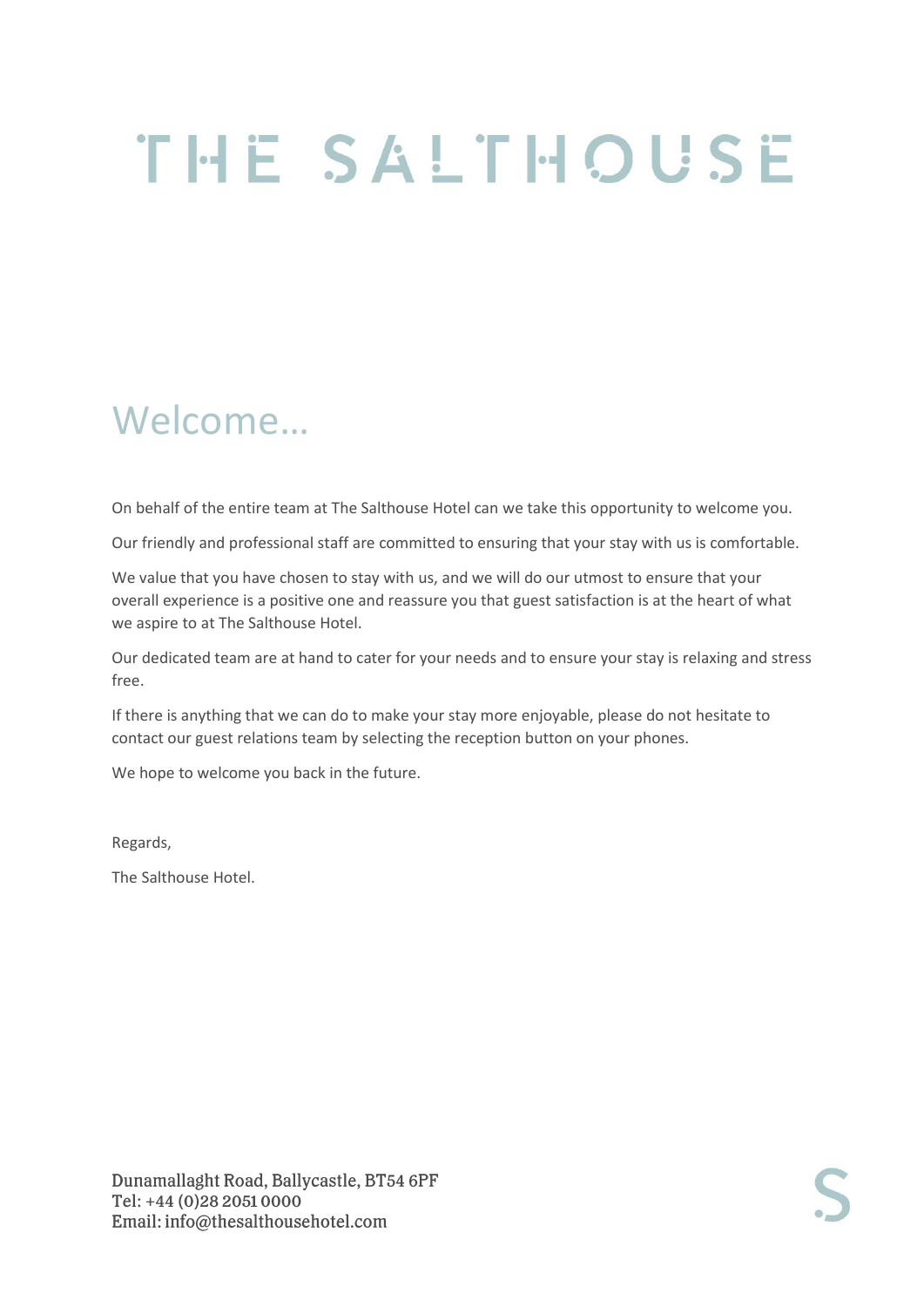# THE SALTHOUSE

# Welcome…

On behalf of the entire team at The Salthouse Hotel can we take this opportunity to welcome you.

Our friendly and professional staff are committed to ensuring that your stay with us is comfortable.

We value that you have chosen to stay with us, and we will do our utmost to ensure that your overall experience is a positive one and reassure you that guest satisfaction is at the heart of what we aspire to at The Salthouse Hotel.

Our dedicated team are at hand to cater for your needs and to ensure your stay is relaxing and stress free.

If there is anything that we can do to make your stay more enjoyable, please do not hesitate to contact our guest relations team by selecting the reception button on your phones.

We hope to welcome you back in the future.

Regards,

The Salthouse Hotel.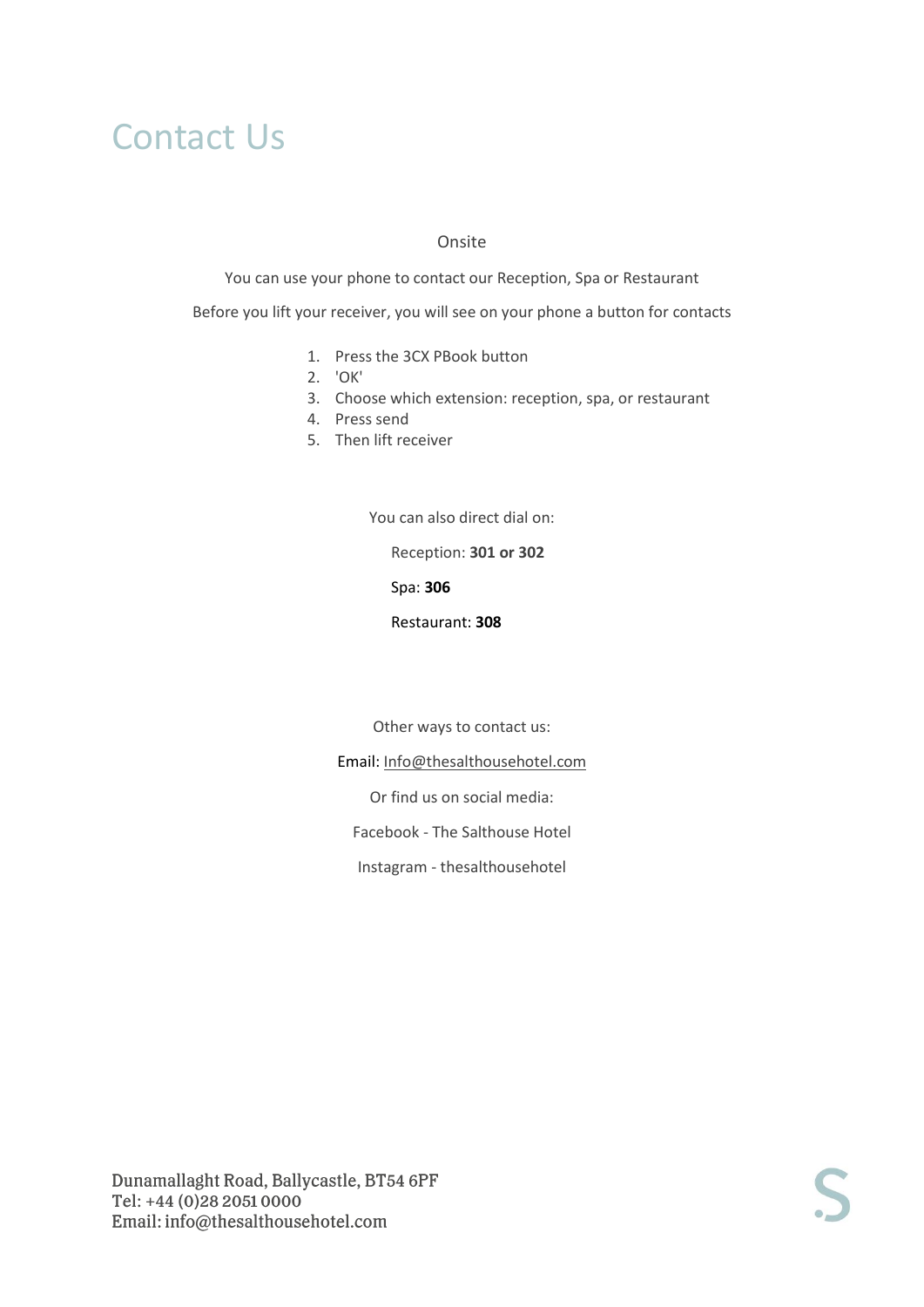### Contact Us

#### Onsite

You can use your phone to contact our Reception, Spa or Restaurant

Before you lift your receiver, you will see on your phone a button for contacts

- 1. Press the 3CX PBook button
- 2. 'OK'
- 3. Choose which extension: reception, spa, or restaurant
- 4. Press send
- 5. Then lift receiver

You can also direct dial on:

Reception: **301 or 302**

Spa: **306**

Restaurant: **308**

Other ways to contact us:

Email: [Info@thesalthousehotel.com](mailto:Info@thesalthousehotel.com)

Or find us on social media:

Facebook - The Salthouse Hotel

Instagram - thesalthousehotel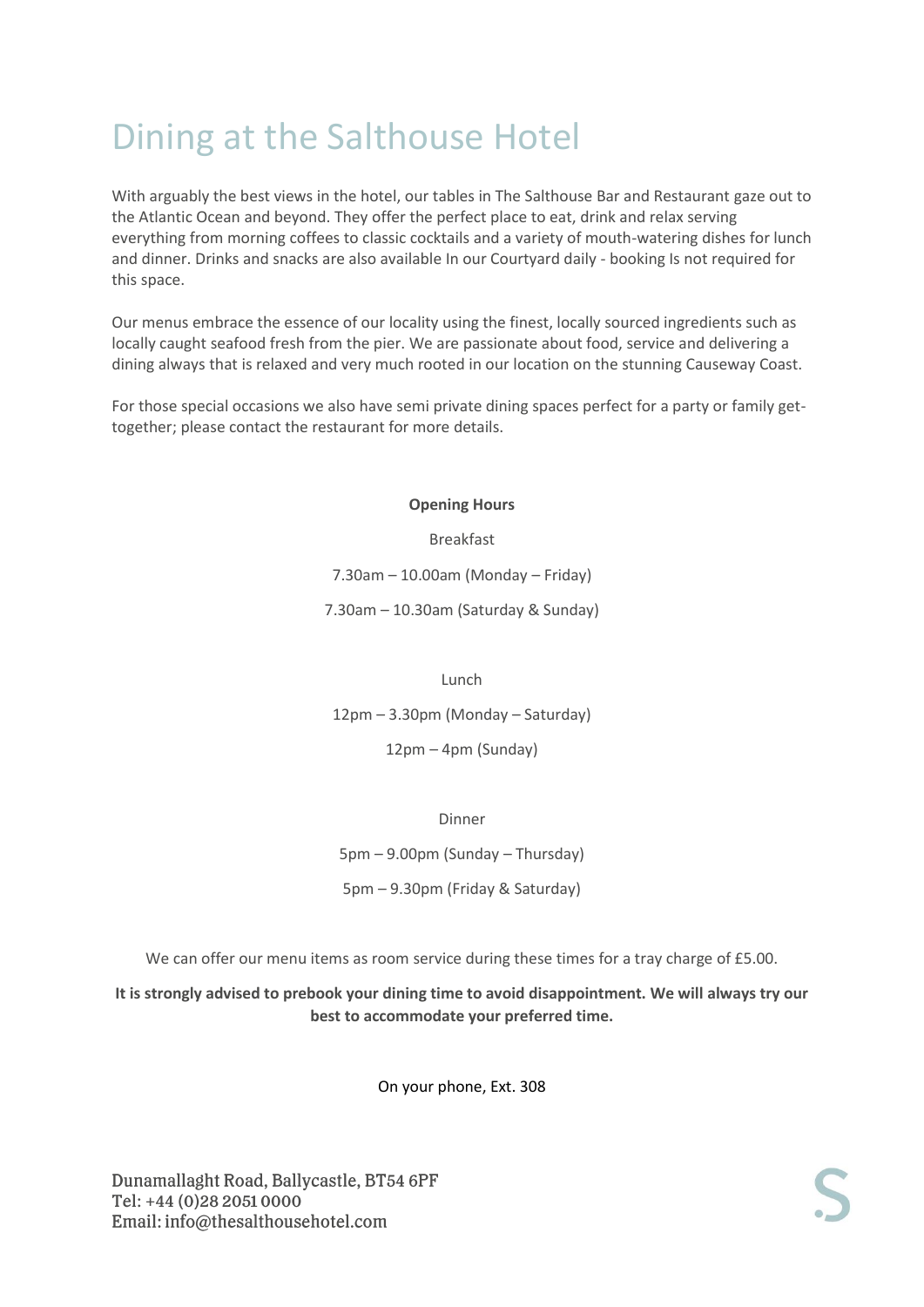# Dining at the Salthouse Hotel

With arguably the best views in the hotel, our tables in The Salthouse Bar and Restaurant gaze out to the Atlantic Ocean and beyond. They offer the perfect place to eat, drink and relax serving everything from morning coffees to classic cocktails and a variety of mouth-watering dishes for lunch and dinner. Drinks and snacks are also available In our Courtyard daily - booking Is not required for this space.

Our menus embrace the essence of our locality using the finest, locally sourced ingredients such as locally caught seafood fresh from the pier. We are passionate about food, service and delivering a dining always that is relaxed and very much rooted in our location on the stunning Causeway Coast.

For those special occasions we also have semi private dining spaces perfect for a party or family gettogether; please contact the restaurant for more details.

#### **Opening Hours**

Breakfast 7.30am – 10.00am (Monday – Friday) 7.30am – 10.30am (Saturday & Sunday)

#### Lunch

12pm – 3.30pm (Monday – Saturday)

12pm – 4pm (Sunday)

Dinner

5pm – 9.00pm (Sunday – Thursday)

5pm – 9.30pm (Friday & Saturday)

We can offer our menu items as room service during these times for a tray charge of £5.00.

**It is strongly advised to prebook your dining time to avoid disappointment. We will always try our best to accommodate your preferred time.**

On your phone, Ext. 308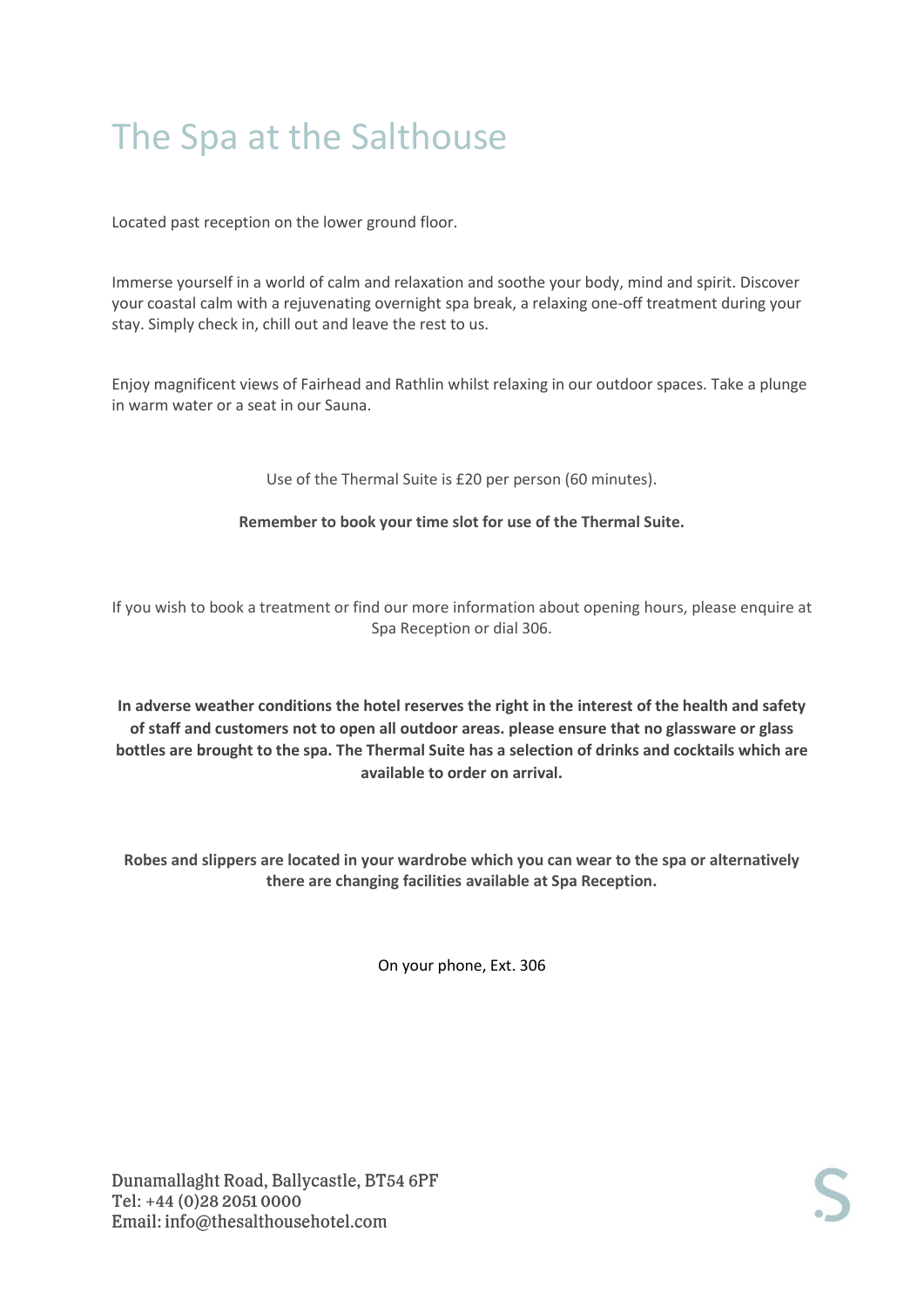# The Spa at the Salthouse

Located past reception on the lower ground floor.

Immerse yourself in a world of calm and relaxation and soothe your body, mind and spirit. Discover your coastal calm with a rejuvenating overnight spa break, a relaxing one-off treatment during your stay. Simply check in, chill out and leave the rest to us.

Enjoy magnificent views of Fairhead and Rathlin whilst relaxing in our outdoor spaces. Take a plunge in warm water or a seat in our Sauna.

Use of the Thermal Suite is £20 per person (60 minutes).

#### **Remember to book your time slot for use of the Thermal Suite.**

If you wish to book a treatment or find our more information about opening hours, please enquire at Spa Reception or dial 306.

**In adverse weather conditions the hotel reserves the right in the interest of the health and safety of staff and customers not to open all outdoor areas. please ensure that no glassware or glass bottles are brought to the spa. The Thermal Suite has a selection of drinks and cocktails which are available to order on arrival.** 

**Robes and slippers are located in your wardrobe which you can wear to the spa or alternatively there are changing facilities available at Spa Reception.** 

On your phone, Ext. 306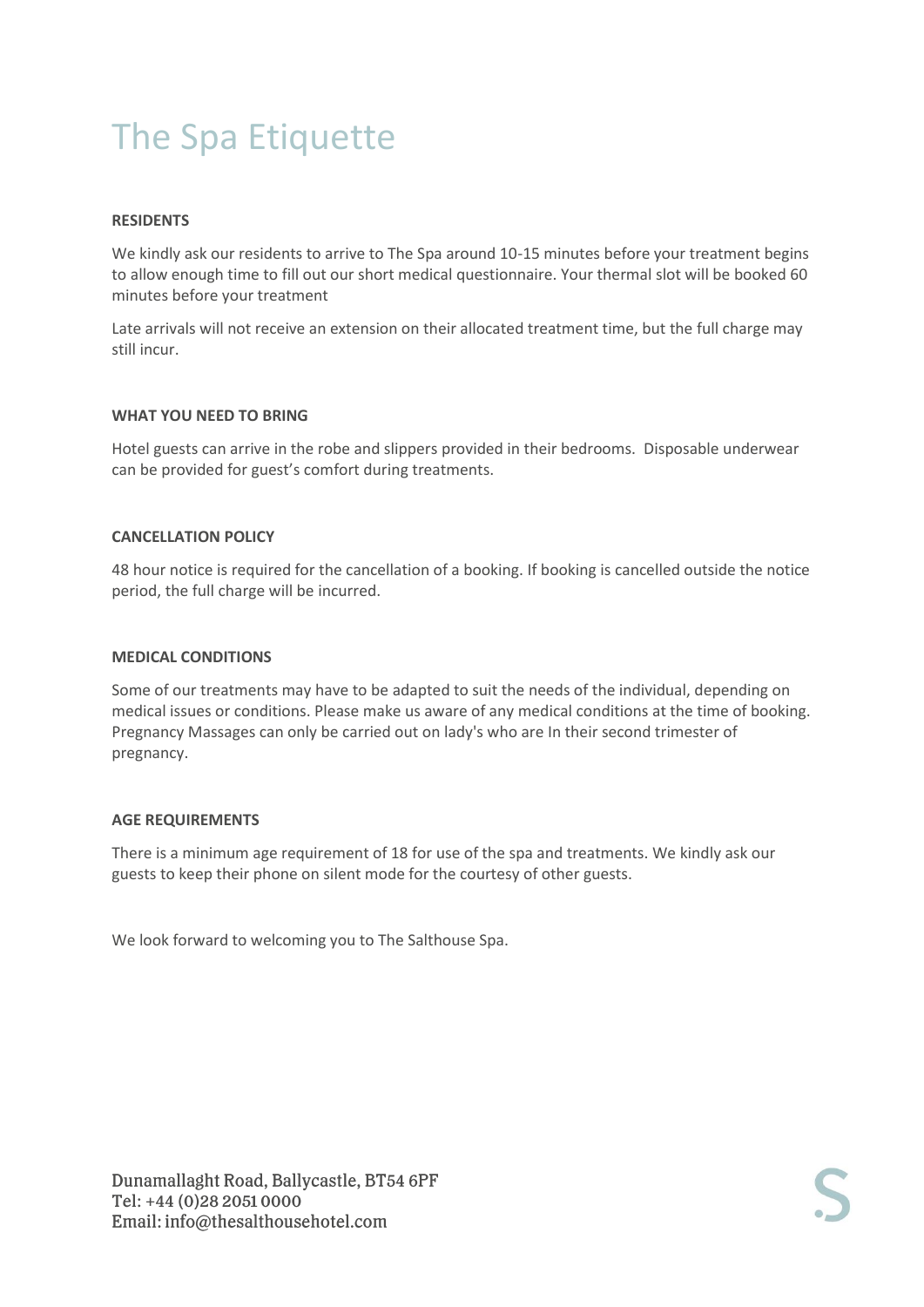# The Spa Etiquette

#### **RESIDENTS**

We kindly ask our residents to arrive to The Spa around 10-15 minutes before your treatment begins to allow enough time to fill out our short medical questionnaire. Your thermal slot will be booked 60 minutes before your treatment

Late arrivals will not receive an extension on their allocated treatment time, but the full charge may still incur.

#### **WHAT YOU NEED TO BRING**

Hotel guests can arrive in the robe and slippers provided in their bedrooms. Disposable underwear can be provided for guest's comfort during treatments.

#### **CANCELLATION POLICY**

48 hour notice is required for the cancellation of a booking. If booking is cancelled outside the notice period, the full charge will be incurred.

#### **MEDICAL CONDITIONS**

Some of our treatments may have to be adapted to suit the needs of the individual, depending on medical issues or conditions. Please make us aware of any medical conditions at the time of booking. Pregnancy Massages can only be carried out on lady's who are In their second trimester of pregnancy.

#### **AGE REQUIREMENTS**

There is a minimum age requirement of 18 for use of the spa and treatments. We kindly ask our guests to keep their phone on silent mode for the courtesy of other guests.

We look forward to welcoming you to The Salthouse Spa.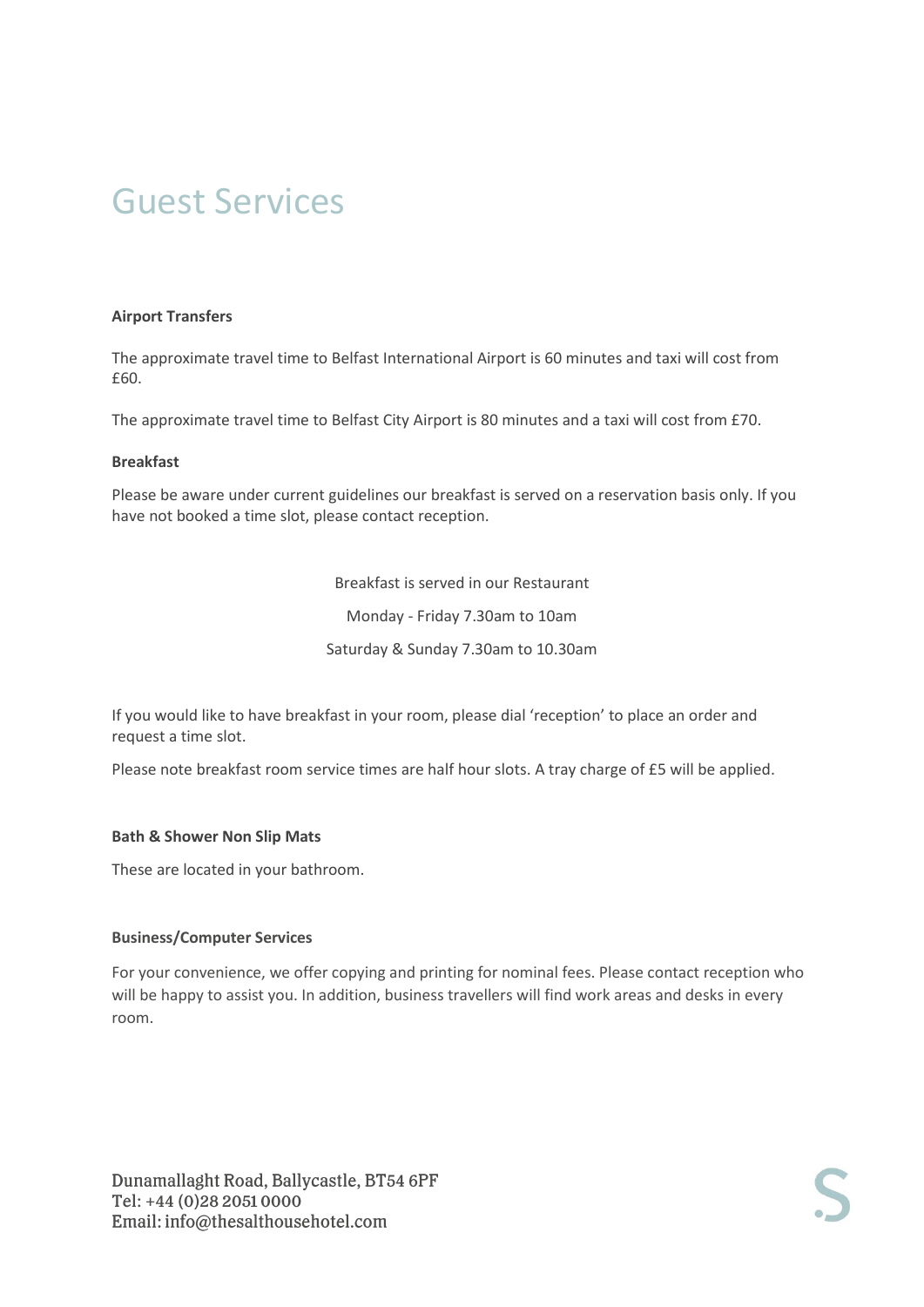#### **Airport Transfers**

The approximate travel time to Belfast International Airport is 60 minutes and taxi will cost from £60.

The approximate travel time to Belfast City Airport is 80 minutes and a taxi will cost from £70.

#### **Breakfast**

Please be aware under current guidelines our breakfast is served on a reservation basis only. If you have not booked a time slot, please contact reception.

> Breakfast is served in our Restaurant Monday - Friday 7.30am to 10am Saturday & Sunday 7.30am to 10.30am

If you would like to have breakfast in your room, please dial 'reception' to place an order and request a time slot.

Please note breakfast room service times are half hour slots. A tray charge of £5 will be applied.

#### **Bath & Shower Non Slip Mats**

These are located in your bathroom.

#### **Business/Computer Services**

For your convenience, we offer copying and printing for nominal fees. Please contact reception who will be happy to assist you. In addition, business travellers will find work areas and desks in every room.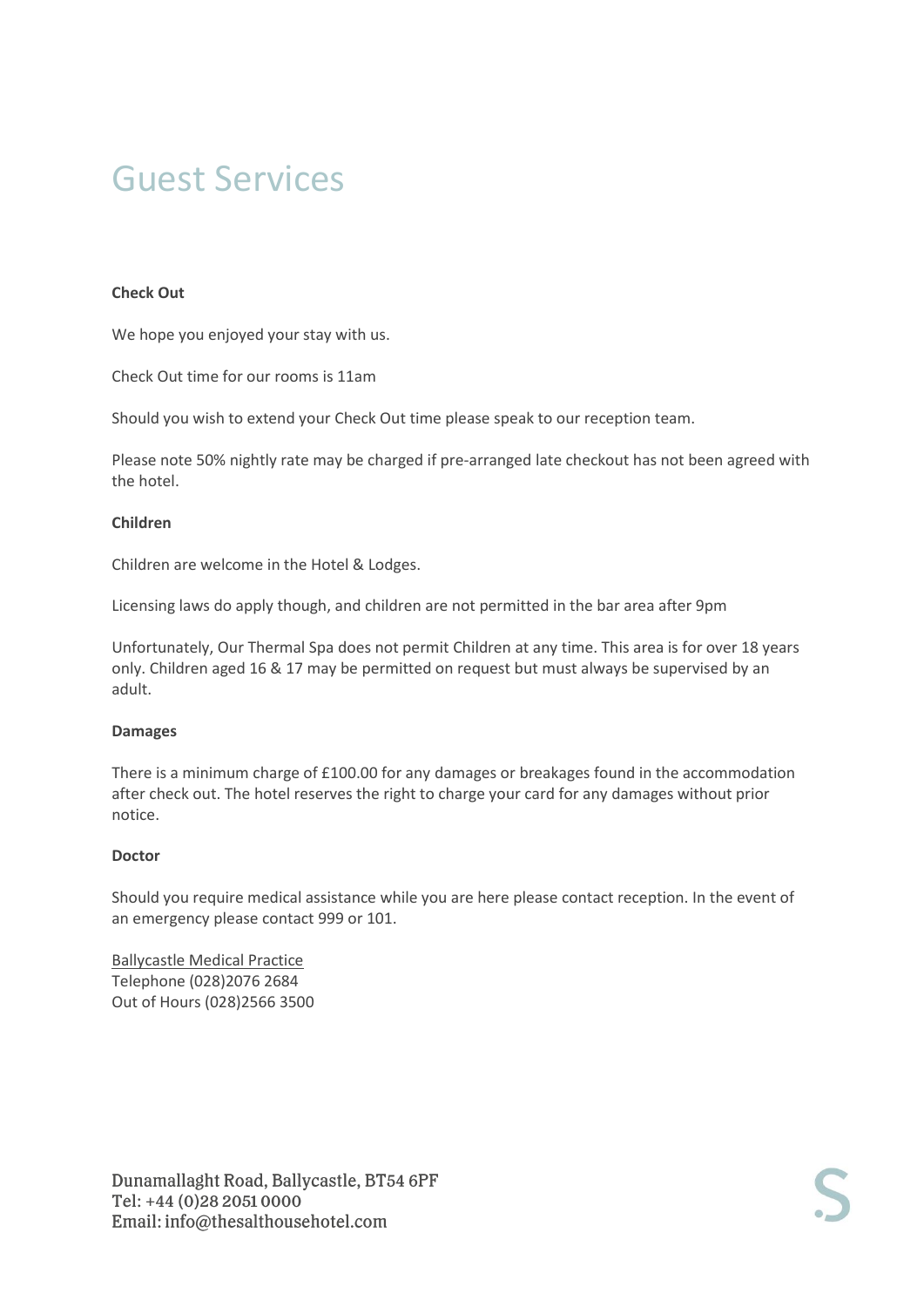#### **Check Out**

We hope you enjoyed your stay with us.

Check Out time for our rooms is 11am

Should you wish to extend your Check Out time please speak to our reception team.

Please note 50% nightly rate may be charged if pre-arranged late checkout has not been agreed with the hotel.

#### **Children**

Children are welcome in the Hotel & Lodges.

Licensing laws do apply though, and children are not permitted in the bar area after 9pm

Unfortunately, Our Thermal Spa does not permit Children at any time. This area is for over 18 years only. Children aged 16 & 17 may be permitted on request but must always be supervised by an adult.

#### **Damages**

There is a minimum charge of £100.00 for any damages or breakages found in the accommodation after check out. The hotel reserves the right to charge your card for any damages without prior notice.

#### **Doctor**

Should you require medical assistance while you are here please contact reception. In the event of an emergency please contact 999 or 101.

Ballycastle Medical Practice Telephone (028)2076 2684 Out of Hours (028)2566 3500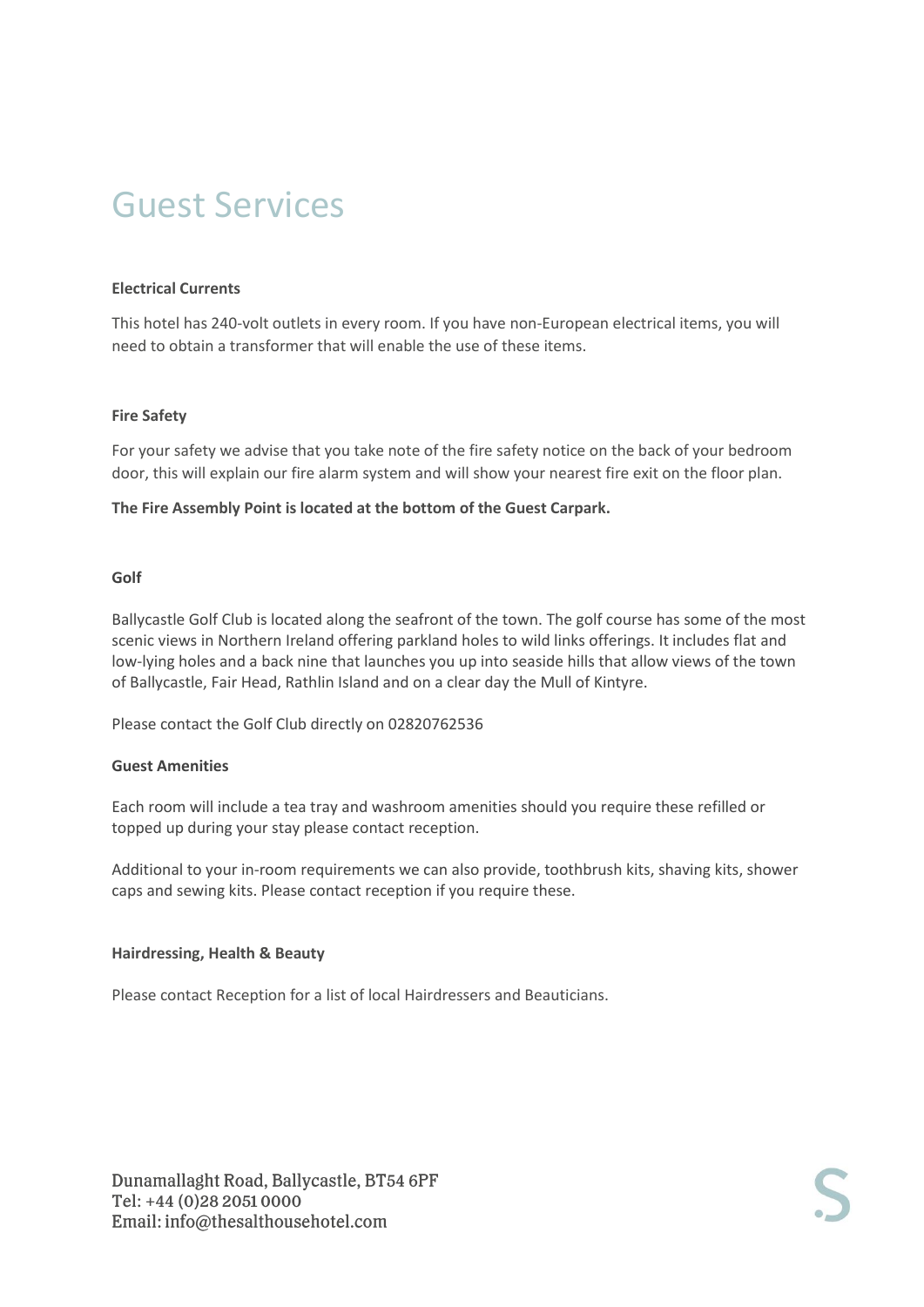#### **Electrical Currents**

This hotel has 240-volt outlets in every room. If you have non-European electrical items, you will need to obtain a transformer that will enable the use of these items.

#### **Fire Safety**

For your safety we advise that you take note of the fire safety notice on the back of your bedroom door, this will explain our fire alarm system and will show your nearest fire exit on the floor plan.

#### **The Fire Assembly Point is located at the bottom of the Guest Carpark.**

#### **Golf**

Ballycastle Golf Club is located along the seafront of the town. The golf course has some of the most scenic views in Northern Ireland offering parkland holes to wild links offerings. It includes flat and low-lying holes and a back nine that launches you up into seaside hills that allow views of the town of Ballycastle, Fair Head, Rathlin Island and on a clear day the Mull of Kintyre.

Please contact the Golf Club directly on 02820762536

#### **Guest Amenities**

Each room will include a tea tray and washroom amenities should you require these refilled or topped up during your stay please contact reception.

Additional to your in-room requirements we can also provide, toothbrush kits, shaving kits, shower caps and sewing kits. Please contact reception if you require these.

#### **Hairdressing, Health & Beauty**

Please contact Reception for a list of local Hairdressers and Beauticians.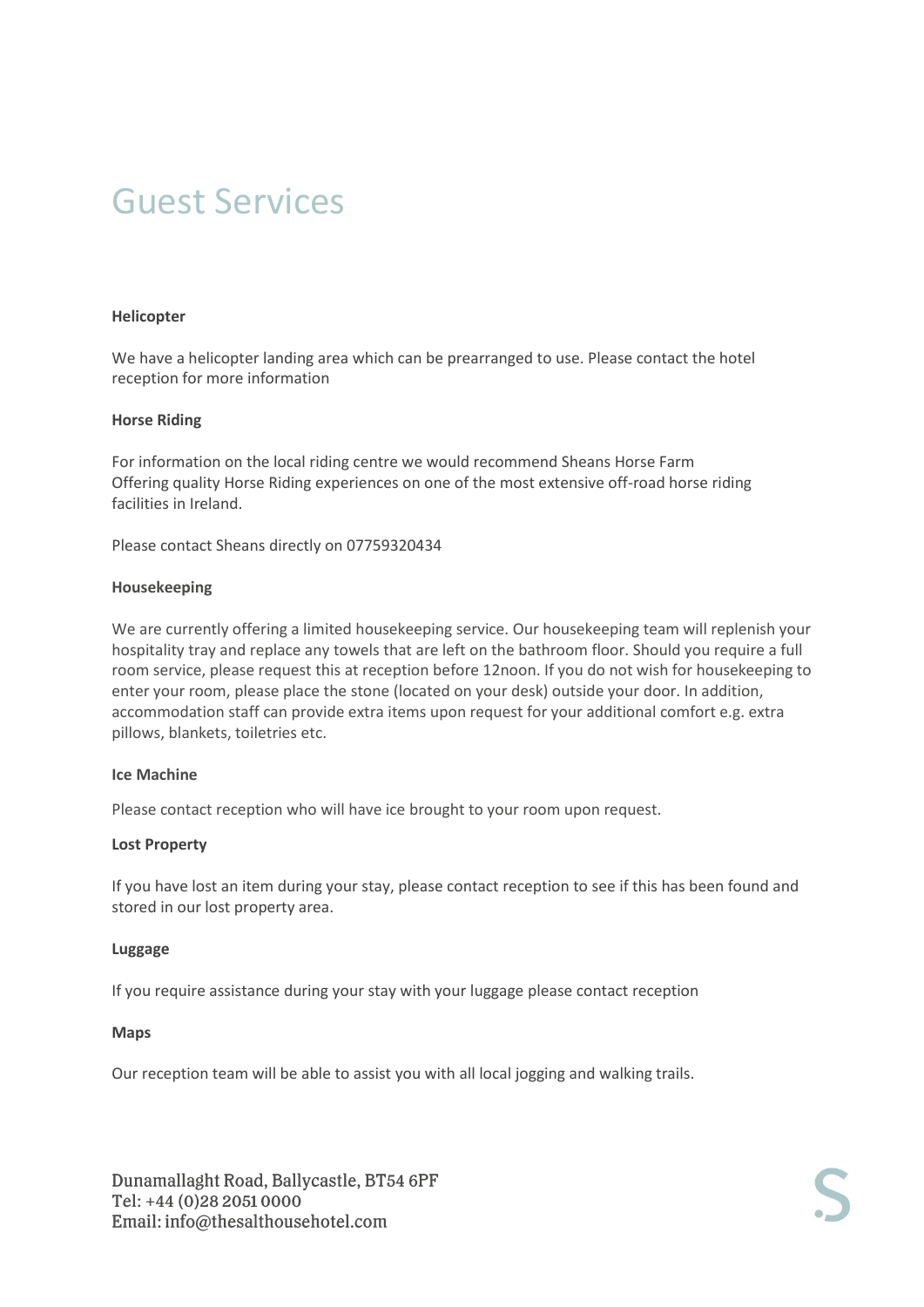#### **Helicopter**

We have a helicopter landing area which can be prearranged to use. Please contact the hotel reception for more information

#### **Horse Riding**

For information on the local riding centre we would recommend Sheans Horse Farm Offering quality Horse Riding experiences on one of the most extensive off-road horse riding facilities in Ireland.

Please contact Sheans directly on 07759320434

#### **Housekeeping**

We are currently offering a limited housekeeping service. Our housekeeping team will replenish your hospitality tray and replace any towels that are left on the bathroom floor. Should you require a full room service, please request this at reception before 12noon. If you do not wish for housekeeping to enter your room, please place the stone (located on your desk) outside your door. In addition, accommodation staff can provide extra items upon request for your additional comfort e.g. extra pillows, blankets, toiletries etc.

#### **Ice Machine**

Please contact reception who will have ice brought to your room upon request.

#### **Lost Property**

If you have lost an item during your stay, please contact reception to see if this has been found and stored in our lost property area.

#### **Luggage**

If you require assistance during your stay with your luggage please contact reception

#### **Maps**

Our reception team will be able to assist you with all local jogging and walking trails.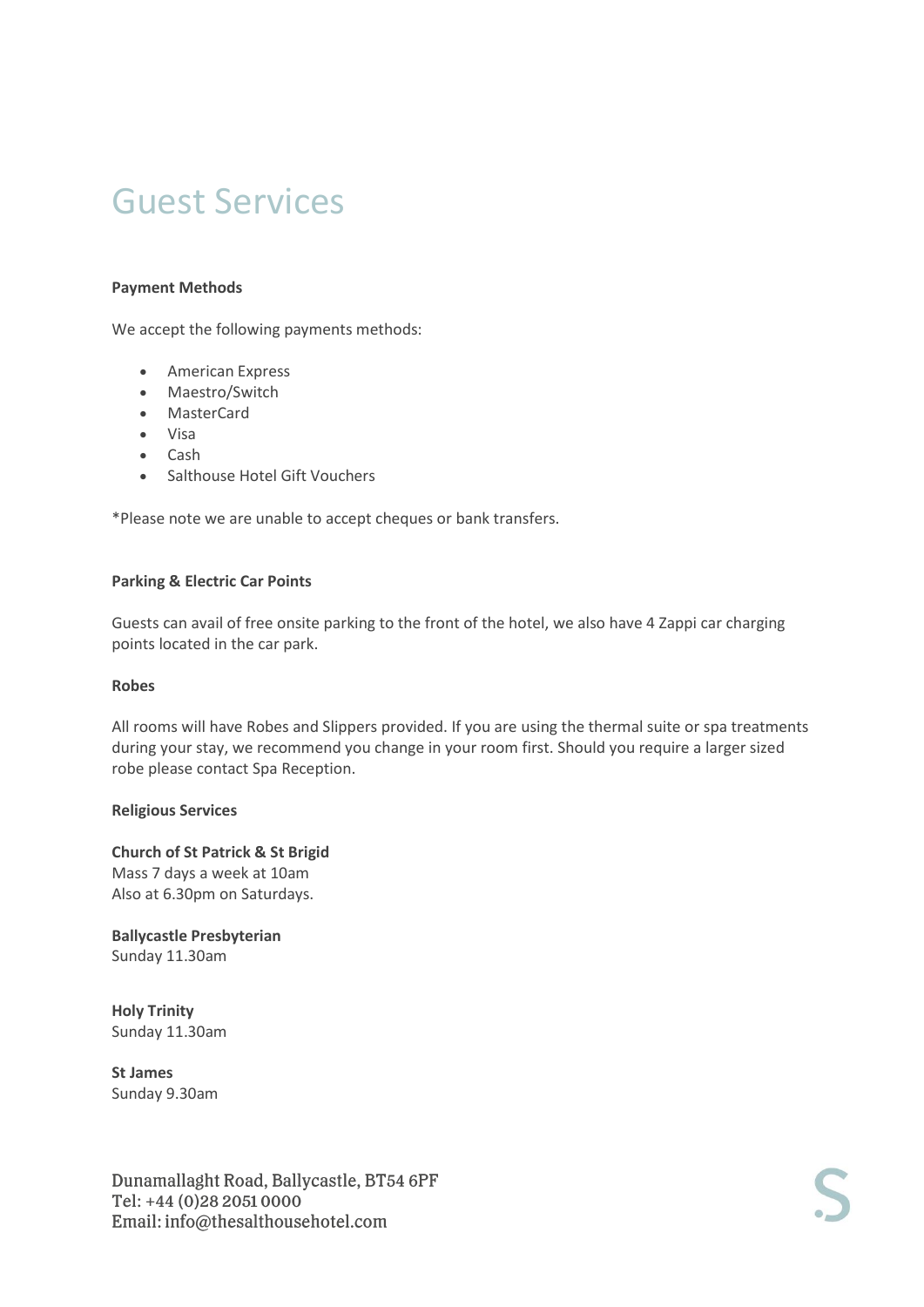#### **Payment Methods**

We accept the following payments methods:

- American Express
- Maestro/Switch
- MasterCard
- Visa
- Cash
- Salthouse Hotel Gift Vouchers

\*Please note we are unable to accept cheques or bank transfers.

#### **Parking & Electric Car Points**

Guests can avail of free onsite parking to the front of the hotel, we also have 4 Zappi car charging points located in the car park.

#### **Robes**

All rooms will have Robes and Slippers provided. If you are using the thermal suite or spa treatments during your stay, we recommend you change in your room first. Should you require a larger sized robe please contact Spa Reception.

#### **Religious Services**

**Church of St Patrick & St Brigid**  Mass 7 days a week at 10am Also at 6.30pm on Saturdays.

**Ballycastle Presbyterian** Sunday 11.30am

**Holy Trinity** Sunday 11.30am

**St James** Sunday 9.30am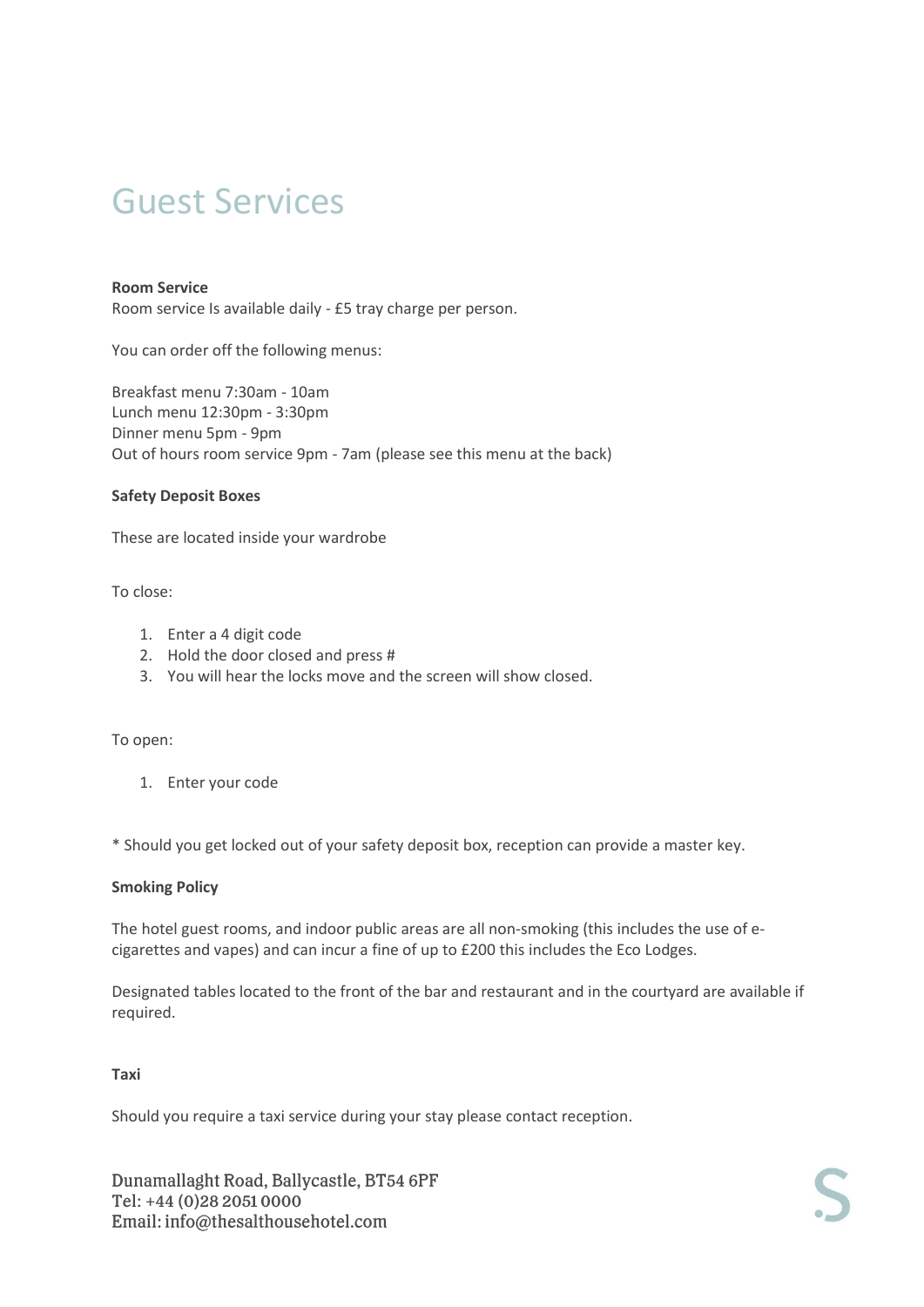#### **Room Service**

Room service Is available daily - £5 tray charge per person.

You can order off the following menus:

Breakfast menu 7:30am - 10am Lunch menu 12:30pm - 3:30pm Dinner menu 5pm - 9pm Out of hours room service 9pm - 7am (please see this menu at the back)

#### **Safety Deposit Boxes**

These are located inside your wardrobe

To close:

- 1. Enter a 4 digit code
- 2. Hold the door closed and press #
- 3. You will hear the locks move and the screen will show closed.

To open:

1. Enter your code

\* Should you get locked out of your safety deposit box, reception can provide a master key.

#### **Smoking Policy**

The hotel guest rooms, and indoor public areas are all non-smoking (this includes the use of ecigarettes and vapes) and can incur a fine of up to £200 this includes the Eco Lodges.

Designated tables located to the front of the bar and restaurant and in the courtyard are available if required.

#### **Taxi**

Should you require a taxi service during your stay please contact reception.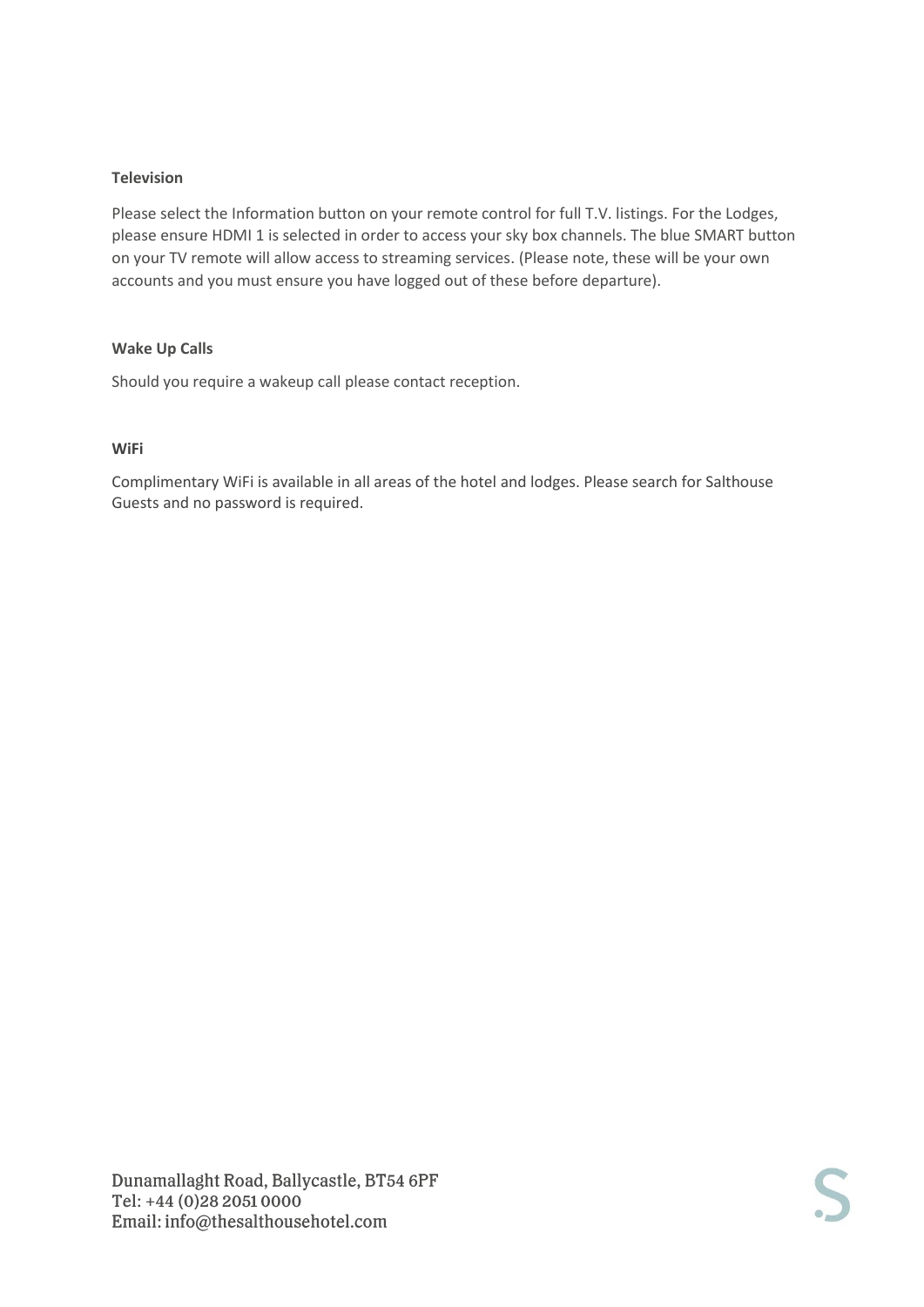#### **Television**

Please select the Information button on your remote control for full T.V. listings. For the Lodges, please ensure HDMI 1 is selected in order to access your sky box channels. The blue SMART button on your TV remote will allow access to streaming services. (Please note, these will be your own accounts and you must ensure you have logged out of these before departure).

#### **Wake Up Calls**

Should you require a wakeup call please contact reception.

#### **WiFi**

Complimentary WiFi is available in all areas of the hotel and lodges. Please search for Salthouse Guests and no password is required.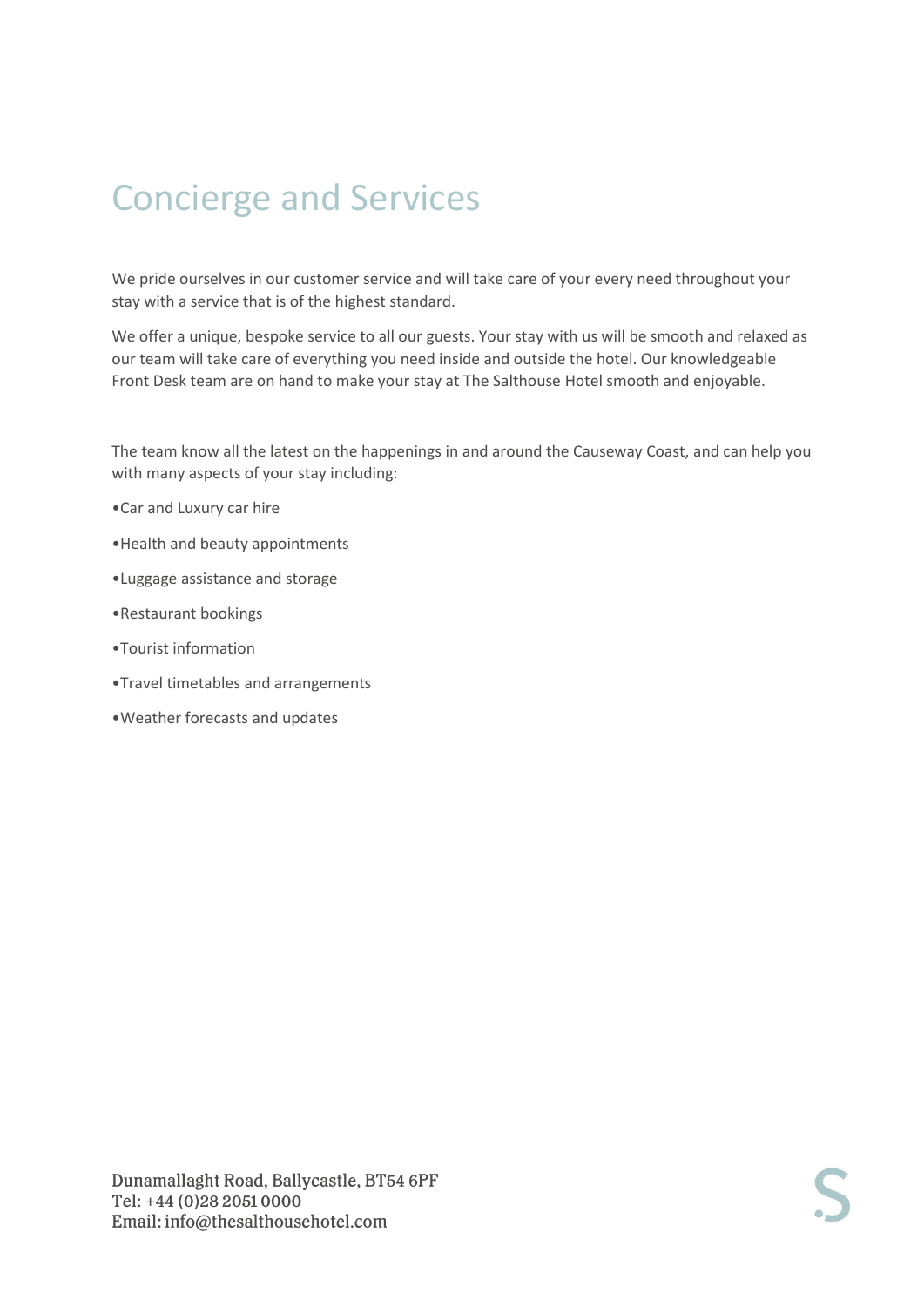# Concierge and Services

We pride ourselves in our customer service and will take care of your every need throughout your stay with a service that is of the highest standard.

We offer a unique, bespoke service to all our guests. Your stay with us will be smooth and relaxed as our team will take care of everything you need inside and outside the hotel. Our knowledgeable Front Desk team are on hand to make your stay at The Salthouse Hotel smooth and enjoyable.

The team know all the latest on the happenings in and around the Causeway Coast, and can help you with many aspects of your stay including:

- •Car and Luxury car hire
- •Health and beauty appointments
- •Luggage assistance and storage
- •Restaurant bookings
- •Tourist information
- •Travel timetables and arrangements
- •Weather forecasts and updates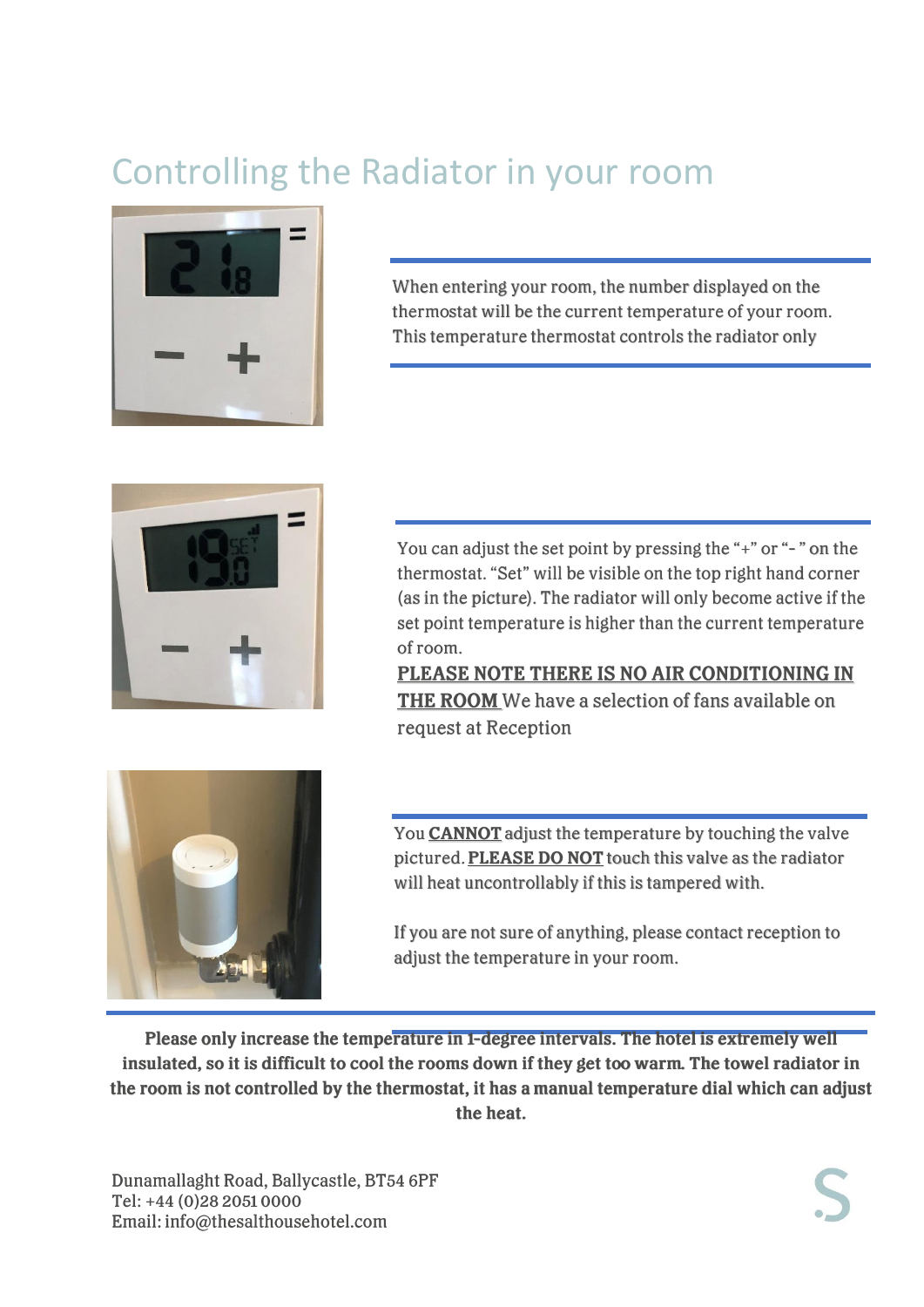# Controlling the Radiator in your room



When entering your room, the number displayed on the thermostat will be the current temperature of your room. This temperature thermostat controls the radiator only



You can adjust the set point by pressing the "+" or "-" on the thermostat. "Set" will be visible on the top right hand corner (as in the picture). The radiator will only become active if the set point temperature is higher than the current temperature of room.

PLEASE NOTE THERE IS NO AIR CONDITIONING IN THE ROOM We have a selection of fans available on request at Reception



You **CANNOT** adjust the temperature by touching the valve pictured. PLEASE DO NOT touch this valve as the radiator will heat uncontrollably if this is tampered with.

If you are not sure of anything, please contact reception to adjust the temperature in your room.

Please only increase the temperature in 1-degree intervals. The hotel is extremely well insulated, so it is difficult to cool the rooms down if they get too warm. The towel radiator in the room is not controlled by the thermostat, it has a manual temperature dial which can adjust the heat.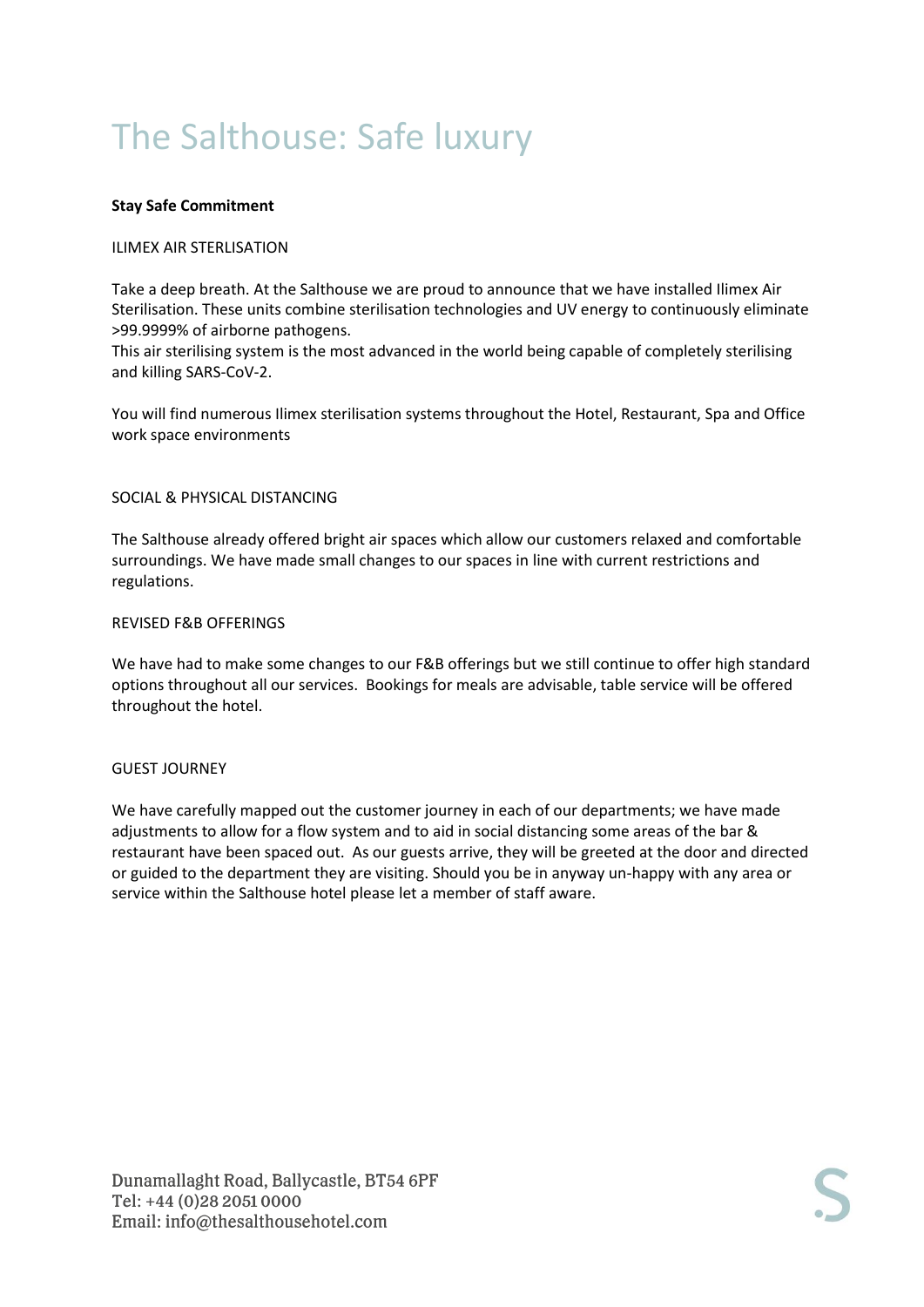# The Salthouse: Safe luxury

#### **Stay Safe Commitment**

#### ILIMEX AIR STERLISATION

Take a deep breath. At the Salthouse we are proud to announce that we have installed Ilimex Air Sterilisation. These units combine sterilisation technologies and UV energy to continuously eliminate >99.9999% of airborne pathogens.

This air sterilising system is the most advanced in the world being capable of completely sterilising and killing SARS-CoV-2.

You will find numerous Ilimex sterilisation systems throughout the Hotel, Restaurant, Spa and Office work space environments

#### SOCIAL & PHYSICAL DISTANCING

The Salthouse already offered bright air spaces which allow our customers relaxed and comfortable surroundings. We have made small changes to our spaces in line with current restrictions and regulations.

#### REVISED F&B OFFERINGS

We have had to make some changes to our F&B offerings but we still continue to offer high standard options throughout all our services. Bookings for meals are advisable, table service will be offered throughout the hotel.

#### GUEST JOURNEY

We have carefully mapped out the customer journey in each of our departments; we have made adjustments to allow for a flow system and to aid in social distancing some areas of the bar & restaurant have been spaced out. As our guests arrive, they will be greeted at the door and directed or guided to the department they are visiting. Should you be in anyway un-happy with any area or service within the Salthouse hotel please let a member of staff aware.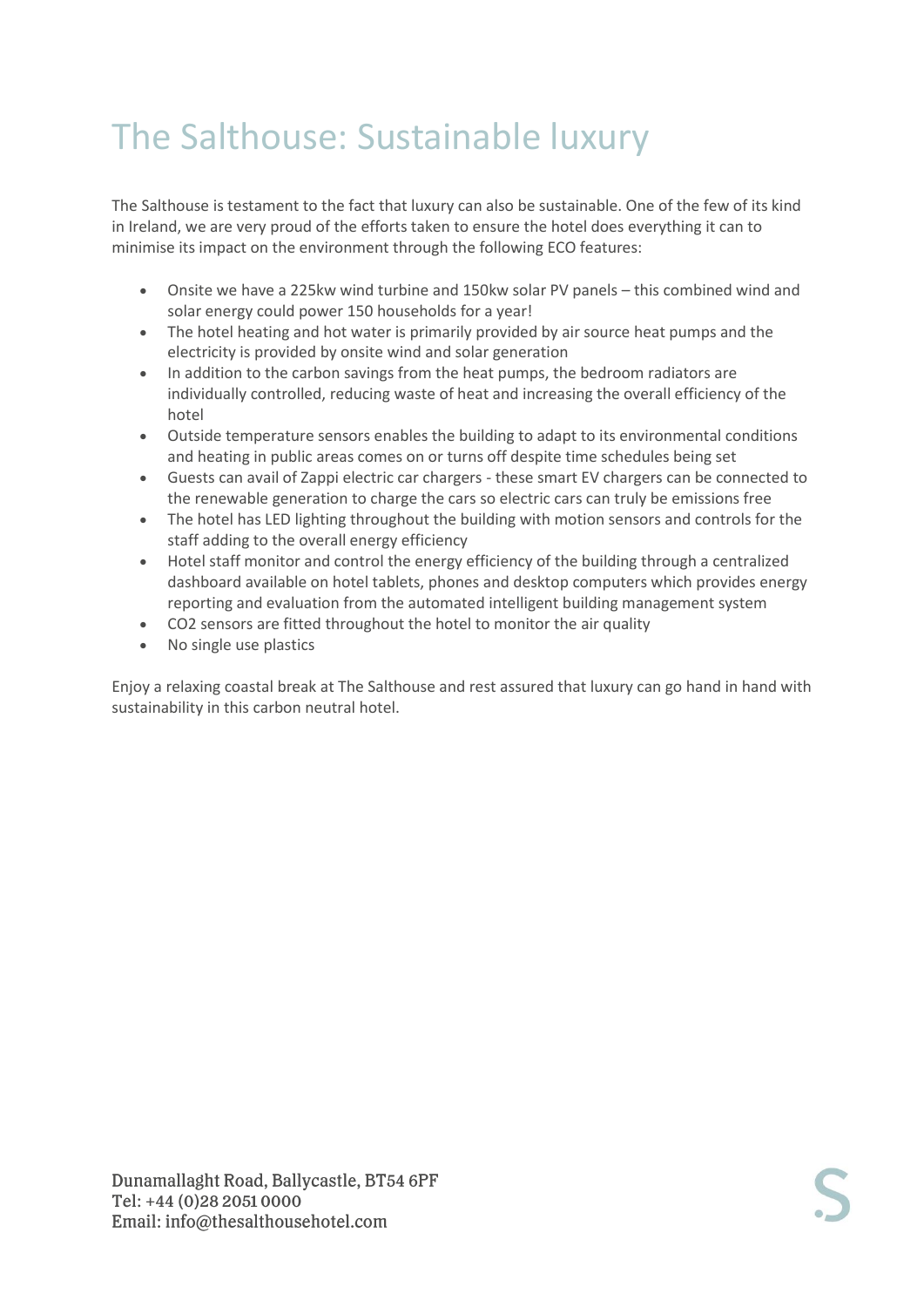# The Salthouse: Sustainable luxury

The Salthouse is testament to the fact that luxury can also be sustainable. One of the few of its kind in Ireland, we are very proud of the efforts taken to ensure the hotel does everything it can to minimise its impact on the environment through the following ECO features:

- Onsite we have a 225kw wind turbine and 150kw solar PV panels this combined wind and solar energy could power 150 households for a year!
- The hotel heating and hot water is primarily provided by air source heat pumps and the electricity is provided by onsite wind and solar generation
- In addition to the carbon savings from the heat pumps, the bedroom radiators are individually controlled, reducing waste of heat and increasing the overall efficiency of the hotel
- Outside temperature sensors enables the building to adapt to its environmental conditions and heating in public areas comes on or turns off despite time schedules being set
- Guests can avail of Zappi electric car chargers these smart EV chargers can be connected to the renewable generation to charge the cars so electric cars can truly be emissions free
- The hotel has LED lighting throughout the building with motion sensors and controls for the staff adding to the overall energy efficiency
- Hotel staff monitor and control the energy efficiency of the building through a centralized dashboard available on hotel tablets, phones and desktop computers which provides energy reporting and evaluation from the automated intelligent building management system
- CO2 sensors are fitted throughout the hotel to monitor the air quality
- No single use plastics

Enjoy a relaxing coastal break at The Salthouse and rest assured that luxury can go hand in hand with sustainability in this carbon neutral hotel.